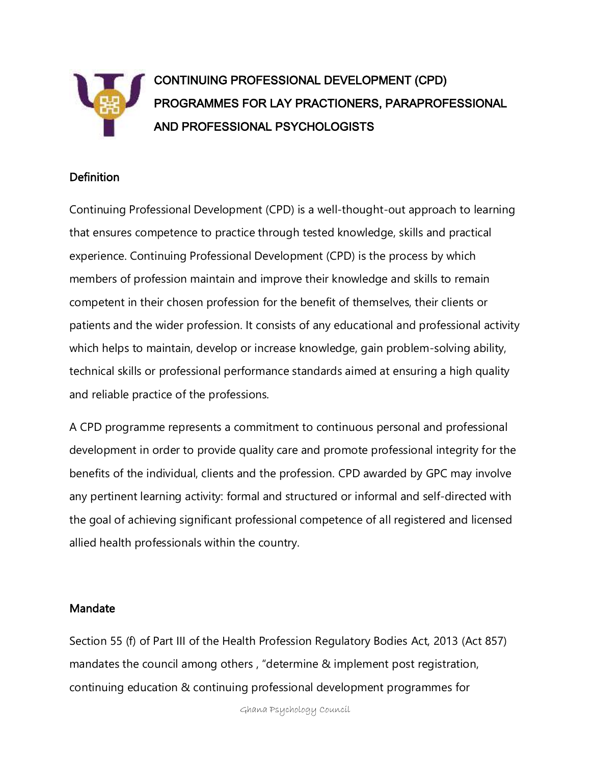

# CONTINUING PROFESSIONAL DEVELOPMENT (CPD) PROGRAMMES FOR LAY PRACTIONERS, PARAPROFESSIONAL AND PROFESSIONAL PSYCHOLOGISTS

### Definition

Continuing Professional Development (CPD) is a well-thought-out approach to learning that ensures competence to practice through tested knowledge, skills and practical experience. Continuing Professional Development (CPD) is the process by which members of profession maintain and improve their knowledge and skills to remain competent in their chosen profession for the benefit of themselves, their clients or patients and the wider profession. It consists of any educational and professional activity which helps to maintain, develop or increase knowledge, gain problem-solving ability, technical skills or professional performance standards aimed at ensuring a high quality and reliable practice of the professions.

A CPD programme represents a commitment to continuous personal and professional development in order to provide quality care and promote professional integrity for the benefits of the individual, clients and the profession. CPD awarded by GPC may involve any pertinent learning activity: formal and structured or informal and self-directed with the goal of achieving significant professional competence of all registered and licensed allied health professionals within the country.

#### Mandate

Section 55 (f) of Part III of the Health Profession Regulatory Bodies Act, 2013 (Act 857) mandates the council among others , "determine & implement post registration, continuing education & continuing professional development programmes for

Ghana Psychology Council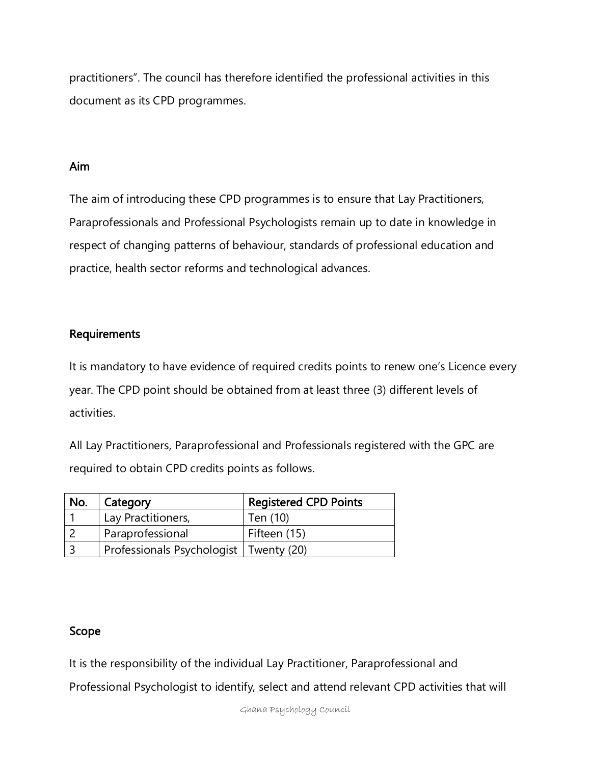practitioners". The council has therefore identified the professional activities in this document as its CPD programmes.

### Aim

The aim of introducing these CPD programmes is to ensure that Lay Practitioners, Paraprofessionals and Professional Psychologists remain up to date in knowledge in respect of changing patterns of behaviour, standards of professional education and practice, health sector reforms and technological advances.

## Requirements

It is mandatory to have evidence of required credits points to renew one's Licence every year. The CPD point should be obtained from at least three (3) different levels of activities.

All Lay Practitioners, Paraprofessional and Professionals registered with the GPC are required to obtain CPD credits points as follows.

| No. | Category                                 | <b>Registered CPD Points</b> |
|-----|------------------------------------------|------------------------------|
|     | Lay Practitioners,                       | Ten (10)                     |
|     | Paraprofessional                         | Fifteen (15)                 |
|     | Professionals Psychologist   Twenty (20) |                              |

## Scope

It is the responsibility of the individual Lay Practitioner, Paraprofessional and

Professional Psychologist to identify, select and attend relevant CPD activities that will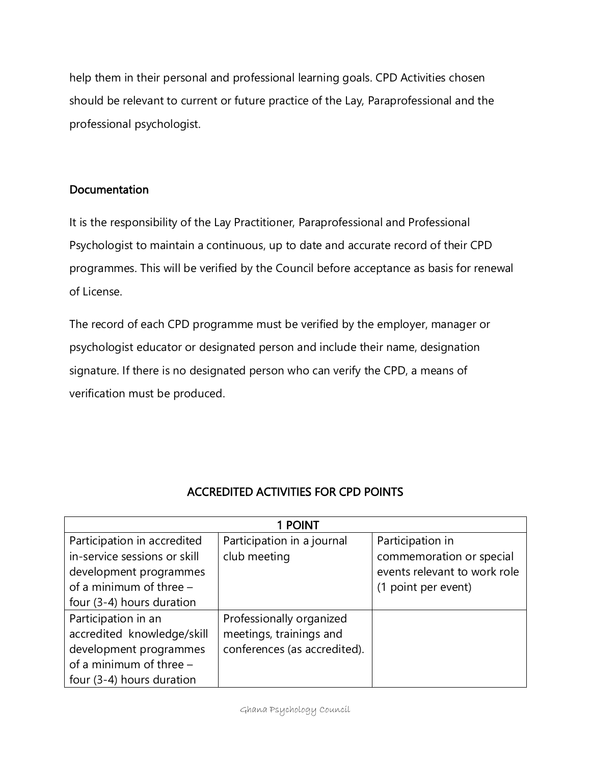help them in their personal and professional learning goals. CPD Activities chosen should be relevant to current or future practice of the Lay, Paraprofessional and the professional psychologist.

# Documentation

It is the responsibility of the Lay Practitioner, Paraprofessional and Professional Psychologist to maintain a continuous, up to date and accurate record of their CPD programmes. This will be verified by the Council before acceptance as basis for renewal of License.

The record of each CPD programme must be verified by the employer, manager or psychologist educator or designated person and include their name, designation signature. If there is no designated person who can verify the CPD, a means of verification must be produced.

| 1 POINT                      |                              |                              |  |
|------------------------------|------------------------------|------------------------------|--|
| Participation in accredited  | Participation in a journal   | Participation in             |  |
| in-service sessions or skill | club meeting                 | commemoration or special     |  |
| development programmes       |                              | events relevant to work role |  |
| of a minimum of three $-$    |                              | (1 point per event)          |  |
| four (3-4) hours duration    |                              |                              |  |
| Participation in an          | Professionally organized     |                              |  |
| accredited knowledge/skill   | meetings, trainings and      |                              |  |
| development programmes       | conferences (as accredited). |                              |  |
| of a minimum of three $-$    |                              |                              |  |
| four (3-4) hours duration    |                              |                              |  |

# ACCREDITED ACTIVITIES FOR CPD POINTS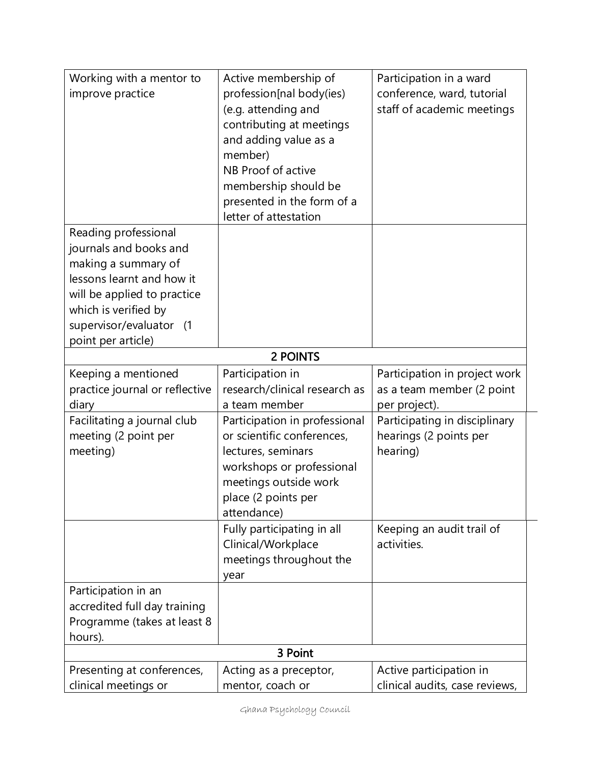| Working with a mentor to<br>improve practice | Active membership of<br>profession[nal body(ies) | Participation in a ward<br>conference, ward, tutorial |  |
|----------------------------------------------|--------------------------------------------------|-------------------------------------------------------|--|
|                                              | (e.g. attending and                              | staff of academic meetings                            |  |
|                                              | contributing at meetings                         |                                                       |  |
|                                              | and adding value as a                            |                                                       |  |
|                                              | member)                                          |                                                       |  |
|                                              | NB Proof of active                               |                                                       |  |
|                                              | membership should be                             |                                                       |  |
|                                              | presented in the form of a                       |                                                       |  |
|                                              | letter of attestation                            |                                                       |  |
| Reading professional                         |                                                  |                                                       |  |
| journals and books and                       |                                                  |                                                       |  |
| making a summary of                          |                                                  |                                                       |  |
| lessons learnt and how it                    |                                                  |                                                       |  |
| will be applied to practice                  |                                                  |                                                       |  |
| which is verified by                         |                                                  |                                                       |  |
| supervisor/evaluator (1                      |                                                  |                                                       |  |
| point per article)                           |                                                  |                                                       |  |
|                                              | 2 POINTS                                         |                                                       |  |
| Keeping a mentioned                          | Participation in                                 | Participation in project work                         |  |
| practice journal or reflective               | research/clinical research as                    | as a team member (2 point                             |  |
| diary                                        | a team member                                    | per project).                                         |  |
| Facilitating a journal club                  | Participation in professional                    | Participating in disciplinary                         |  |
| meeting (2 point per                         | or scientific conferences,                       | hearings (2 points per                                |  |
| meeting)                                     | lectures, seminars                               | hearing)                                              |  |
|                                              | workshops or professional                        |                                                       |  |
|                                              | meetings outside work                            |                                                       |  |
|                                              | place (2 points per                              |                                                       |  |
|                                              | attendance)                                      |                                                       |  |
|                                              | Fully participating in all                       | Keeping an audit trail of                             |  |
|                                              | Clinical/Workplace                               | activities.                                           |  |
|                                              | meetings throughout the                          |                                                       |  |
|                                              | year                                             |                                                       |  |
| Participation in an                          |                                                  |                                                       |  |
| accredited full day training                 |                                                  |                                                       |  |
| Programme (takes at least 8                  |                                                  |                                                       |  |
| hours).<br>3 Point                           |                                                  |                                                       |  |
|                                              |                                                  |                                                       |  |
| Presenting at conferences,                   | Acting as a preceptor,                           | Active participation in                               |  |
| clinical meetings or                         | mentor, coach or                                 | clinical audits, case reviews,                        |  |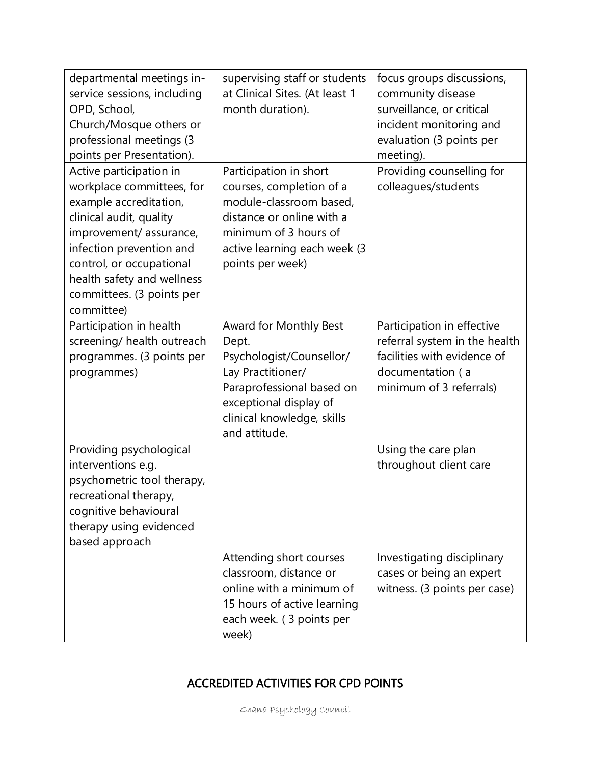| departmental meetings in-<br>service sessions, including<br>OPD, School,<br>Church/Mosque others or<br>professional meetings (3<br>points per Presentation).                                                                                                         | supervising staff or students<br>at Clinical Sites. (At least 1<br>month duration).                                                                                                     | focus groups discussions,<br>community disease<br>surveillance, or critical<br>incident monitoring and<br>evaluation (3 points per<br>meeting). |
|----------------------------------------------------------------------------------------------------------------------------------------------------------------------------------------------------------------------------------------------------------------------|-----------------------------------------------------------------------------------------------------------------------------------------------------------------------------------------|-------------------------------------------------------------------------------------------------------------------------------------------------|
| Active participation in<br>workplace committees, for<br>example accreditation,<br>clinical audit, quality<br>improvement/assurance,<br>infection prevention and<br>control, or occupational<br>health safety and wellness<br>committees. (3 points per<br>committee) | Participation in short<br>courses, completion of a<br>module-classroom based,<br>distance or online with a<br>minimum of 3 hours of<br>active learning each week (3<br>points per week) | Providing counselling for<br>colleagues/students                                                                                                |
| Participation in health<br>screening/ health outreach<br>programmes. (3 points per<br>programmes)                                                                                                                                                                    | Award for Monthly Best<br>Dept.<br>Psychologist/Counsellor/<br>Lay Practitioner/<br>Paraprofessional based on<br>exceptional display of<br>clinical knowledge, skills<br>and attitude.  | Participation in effective<br>referral system in the health<br>facilities with evidence of<br>documentation (a<br>minimum of 3 referrals)       |
| Providing psychological<br>interventions e.g.<br>psychometric tool therapy,<br>recreational therapy,<br>cognitive behavioural<br>therapy using evidenced<br>based approach                                                                                           |                                                                                                                                                                                         | Using the care plan<br>throughout client care                                                                                                   |
|                                                                                                                                                                                                                                                                      | Attending short courses<br>classroom, distance or<br>online with a minimum of<br>15 hours of active learning<br>each week. (3 points per<br>week)                                       | Investigating disciplinary<br>cases or being an expert<br>witness. (3 points per case)                                                          |

# ACCREDITED ACTIVITIES FOR CPD POINTS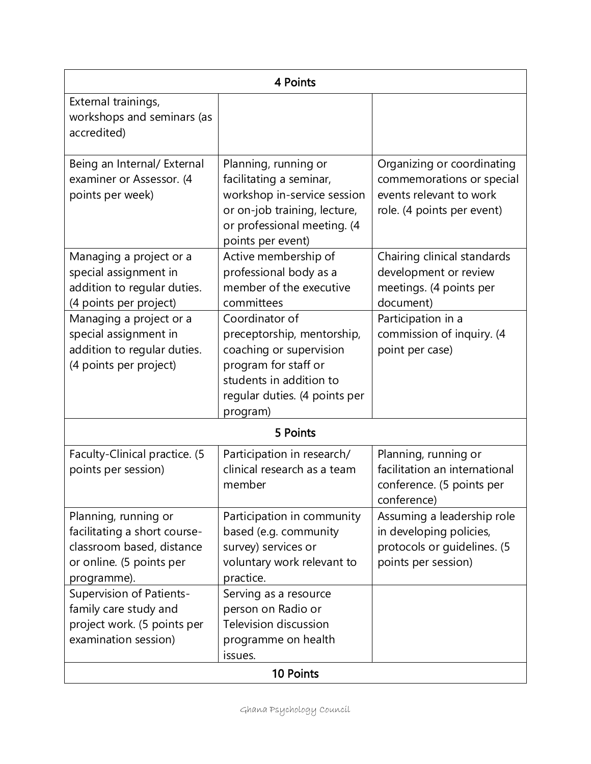| 4 Points                                                                                                                     |                                                                                                                                                                         |                                                                                                                  |  |  |
|------------------------------------------------------------------------------------------------------------------------------|-------------------------------------------------------------------------------------------------------------------------------------------------------------------------|------------------------------------------------------------------------------------------------------------------|--|--|
| External trainings,<br>workshops and seminars (as<br>accredited)                                                             |                                                                                                                                                                         |                                                                                                                  |  |  |
| Being an Internal/ External<br>examiner or Assessor. (4<br>points per week)                                                  | Planning, running or<br>facilitating a seminar,<br>workshop in-service session<br>or on-job training, lecture,<br>or professional meeting. (4<br>points per event)      | Organizing or coordinating<br>commemorations or special<br>events relevant to work<br>role. (4 points per event) |  |  |
| Managing a project or a<br>special assignment in<br>addition to regular duties.<br>(4 points per project)                    | Active membership of<br>professional body as a<br>member of the executive<br>committees                                                                                 | Chairing clinical standards<br>development or review<br>meetings. (4 points per<br>document)                     |  |  |
| Managing a project or a<br>special assignment in<br>addition to regular duties.<br>(4 points per project)                    | Coordinator of<br>preceptorship, mentorship,<br>coaching or supervision<br>program for staff or<br>students in addition to<br>regular duties. (4 points per<br>program) | Participation in a<br>commission of inquiry. (4<br>point per case)                                               |  |  |
|                                                                                                                              | 5 Points                                                                                                                                                                |                                                                                                                  |  |  |
| Faculty-Clinical practice. (5<br>points per session)                                                                         | Participation in research/<br>clinical research as a team<br>member                                                                                                     | Planning, running or<br>facilitation an international<br>conference. (5 points per<br>conference)                |  |  |
| Planning, running or<br>facilitating a short course-<br>classroom based, distance<br>or online. (5 points per<br>programme). | Participation in community<br>based (e.g. community<br>survey) services or<br>voluntary work relevant to<br>practice.                                                   | Assuming a leadership role<br>in developing policies,<br>protocols or guidelines. (5<br>points per session)      |  |  |
| <b>Supervision of Patients-</b><br>family care study and<br>project work. (5 points per<br>examination session)              | Serving as a resource<br>person on Radio or<br><b>Television discussion</b><br>programme on health<br>issues.                                                           |                                                                                                                  |  |  |
| 10 Points                                                                                                                    |                                                                                                                                                                         |                                                                                                                  |  |  |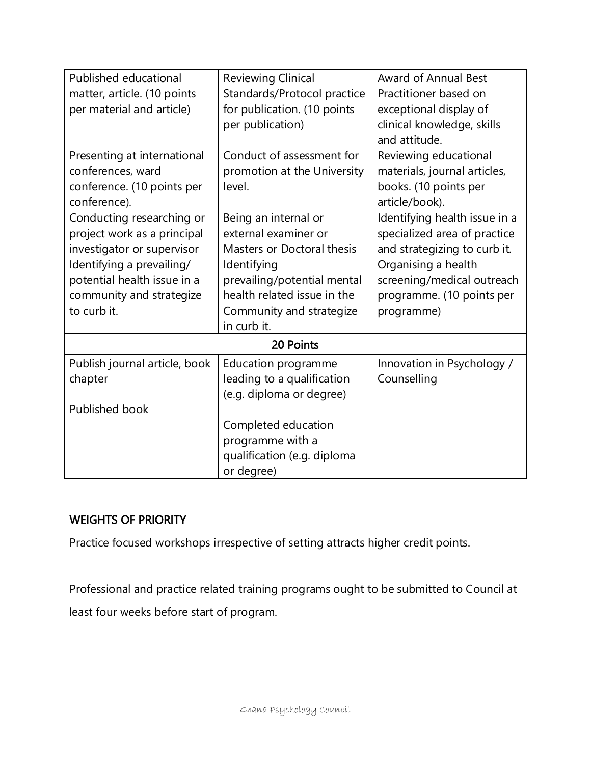| Published educational         | <b>Reviewing Clinical</b>   | <b>Award of Annual Best</b>   |  |
|-------------------------------|-----------------------------|-------------------------------|--|
| matter, article. (10 points   | Standards/Protocol practice | Practitioner based on         |  |
| per material and article)     | for publication. (10 points | exceptional display of        |  |
|                               | per publication)            | clinical knowledge, skills    |  |
|                               |                             | and attitude.                 |  |
| Presenting at international   | Conduct of assessment for   | Reviewing educational         |  |
| conferences, ward             | promotion at the University | materials, journal articles,  |  |
| conference. (10 points per    | level.                      | books. (10 points per         |  |
| conference).                  |                             | article/book).                |  |
| Conducting researching or     | Being an internal or        | Identifying health issue in a |  |
| project work as a principal   | external examiner or        | specialized area of practice  |  |
| investigator or supervisor    | Masters or Doctoral thesis  | and strategizing to curb it.  |  |
| Identifying a prevailing/     | Identifying                 | Organising a health           |  |
| potential health issue in a   | prevailing/potential mental | screening/medical outreach    |  |
| community and strategize      | health related issue in the | programme. (10 points per     |  |
| to curb it.                   | Community and strategize    | programme)                    |  |
|                               | in curb it.                 |                               |  |
| 20 Points                     |                             |                               |  |
| Publish journal article, book | Education programme         | Innovation in Psychology /    |  |
| chapter                       | leading to a qualification  | Counselling                   |  |
|                               | (e.g. diploma or degree)    |                               |  |
| Published book                |                             |                               |  |
|                               | Completed education         |                               |  |
|                               | programme with a            |                               |  |
|                               | qualification (e.g. diploma |                               |  |
|                               | or degree)                  |                               |  |

## WEIGHTS OF PRIORITY

Practice focused workshops irrespective of setting attracts higher credit points.

Professional and practice related training programs ought to be submitted to Council at least four weeks before start of program.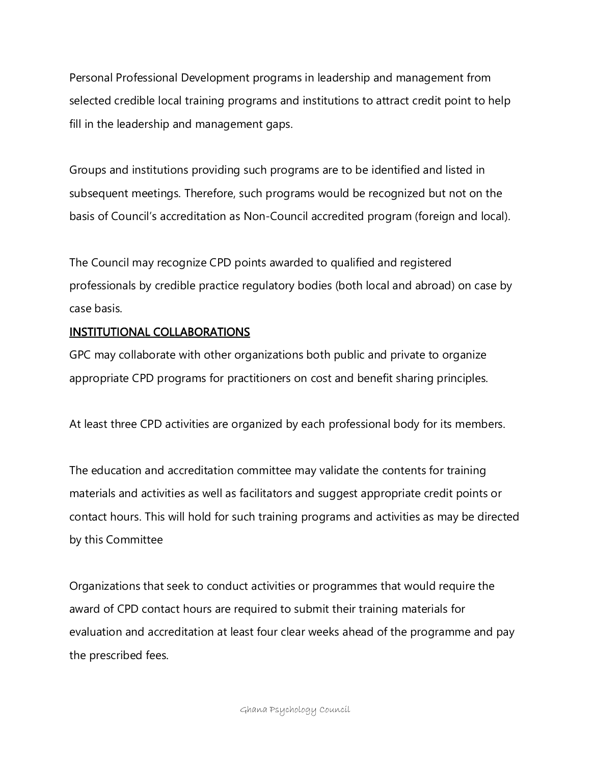Personal Professional Development programs in leadership and management from selected credible local training programs and institutions to attract credit point to help fill in the leadership and management gaps.

Groups and institutions providing such programs are to be identified and listed in subsequent meetings. Therefore, such programs would be recognized but not on the basis of Council's accreditation as Non-Council accredited program (foreign and local).

The Council may recognize CPD points awarded to qualified and registered professionals by credible practice regulatory bodies (both local and abroad) on case by case basis.

## INSTITUTIONAL COLLABORATIONS

GPC may collaborate with other organizations both public and private to organize appropriate CPD programs for practitioners on cost and benefit sharing principles.

At least three CPD activities are organized by each professional body for its members.

The education and accreditation committee may validate the contents for training materials and activities as well as facilitators and suggest appropriate credit points or contact hours. This will hold for such training programs and activities as may be directed by this Committee

Organizations that seek to conduct activities or programmes that would require the award of CPD contact hours are required to submit their training materials for evaluation and accreditation at least four clear weeks ahead of the programme and pay the prescribed fees.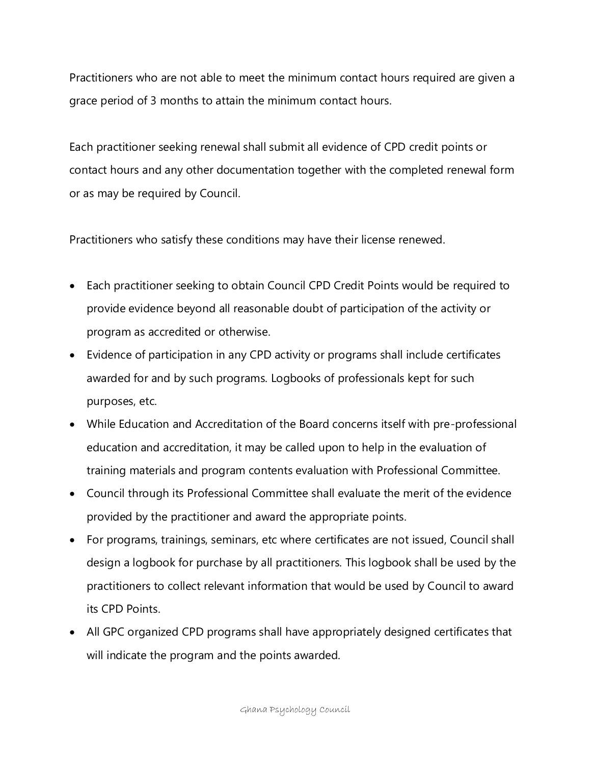Practitioners who are not able to meet the minimum contact hours required are given a grace period of 3 months to attain the minimum contact hours.

Each practitioner seeking renewal shall submit all evidence of CPD credit points or contact hours and any other documentation together with the completed renewal form or as may be required by Council.

Practitioners who satisfy these conditions may have their license renewed.

- Each practitioner seeking to obtain Council CPD Credit Points would be required to provide evidence beyond all reasonable doubt of participation of the activity or program as accredited or otherwise.
- Evidence of participation in any CPD activity or programs shall include certificates awarded for and by such programs. Logbooks of professionals kept for such purposes, etc.
- While Education and Accreditation of the Board concerns itself with pre-professional education and accreditation, it may be called upon to help in the evaluation of training materials and program contents evaluation with Professional Committee.
- Council through its Professional Committee shall evaluate the merit of the evidence provided by the practitioner and award the appropriate points.
- For programs, trainings, seminars, etc where certificates are not issued, Council shall design a logbook for purchase by all practitioners. This logbook shall be used by the practitioners to collect relevant information that would be used by Council to award its CPD Points.
- All GPC organized CPD programs shall have appropriately designed certificates that will indicate the program and the points awarded.